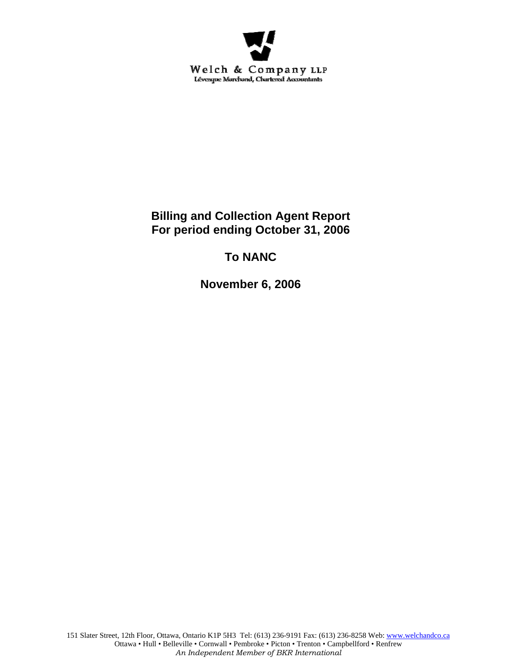

**Billing and Collection Agent Report For period ending October 31, 2006** 

# **To NANC**

**November 6, 2006**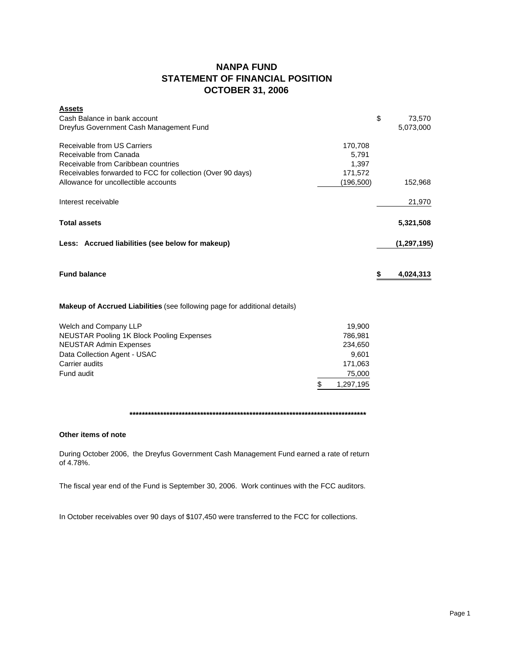## **NANPA FUND STATEMENT OF FINANCIAL POSITION OCTOBER 31, 2006**

| <b>Assets</b>                                                                    |           |              |
|----------------------------------------------------------------------------------|-----------|--------------|
| Cash Balance in bank account                                                     |           | \$<br>73,570 |
| Dreyfus Government Cash Management Fund                                          |           | 5,073,000    |
| Receivable from US Carriers                                                      | 170,708   |              |
| Receivable from Canada                                                           | 5,791     |              |
| Receivable from Caribbean countries                                              | 1,397     |              |
| Receivables forwarded to FCC for collection (Over 90 days)                       | 171,572   |              |
| Allowance for uncollectible accounts                                             | (196,500) | 152,968      |
| Interest receivable                                                              |           | 21,970       |
| <b>Total assets</b>                                                              |           | 5,321,508    |
| Less: Accrued liabilities (see below for makeup)                                 |           | (1,297,195)  |
| <b>Fund balance</b>                                                              |           | 4,024,313    |
| <b>Makeup of Accrued Liabilities</b> (see following page for additional details) |           |              |
| Welch and Company LLP                                                            | 19,900    |              |

| Data Collection Agent - USAC | 9.601     |
|------------------------------|-----------|
| Carrier audits               | 171.063   |
| Fund audit                   | 75,000    |
|                              | 1,297,195 |

**\*\*\*\*\*\*\*\*\*\*\*\*\*\*\*\*\*\*\*\*\*\*\*\*\*\*\*\*\*\*\*\*\*\*\*\*\*\*\*\*\*\*\*\*\*\*\*\*\*\*\*\*\*\*\*\*\*\*\*\*\*\*\*\*\*\*\*\*\*\*\*\*\*\*\*\*\***

### **Other items of note**

During October 2006, the Dreyfus Government Cash Management Fund earned a rate of return of 4.78%.

The fiscal year end of the Fund is September 30, 2006. Work continues with the FCC auditors.

In October receivables over 90 days of \$107,450 were transferred to the FCC for collections.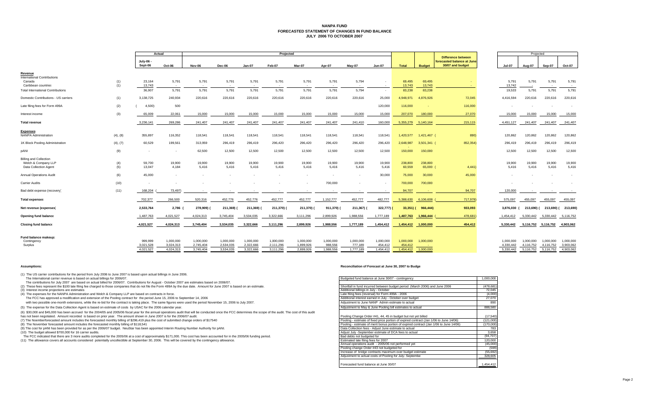#### **NANPA FUND FORECASTED STATEMENT OF CHANGES IN FUND BALANCEJULY 2006 TO OCTOBER 2007**

|                                                                                |            | Actual                 |                        | Projected              |                        |                        |                        |                        |                      |                          |                          |                   |                                       |                                                                             | Projected              |                        |                        |                        |
|--------------------------------------------------------------------------------|------------|------------------------|------------------------|------------------------|------------------------|------------------------|------------------------|------------------------|----------------------|--------------------------|--------------------------|-------------------|---------------------------------------|-----------------------------------------------------------------------------|------------------------|------------------------|------------------------|------------------------|
|                                                                                |            | July-06 -<br>Sept-06   | Oct-06                 | Nov-06                 | Dec-06                 | <b>Jan-07</b>          | Feb-07                 | Mar-07                 | Apr-07               | May-07                   | <b>Jun-07</b>            | <b>Total</b>      | <b>Budget</b>                         | <b>Difference between</b><br>forecasted balance at June<br>30/07 and budget | <b>Jul-07</b>          | Aug-07                 | Sep-07                 | <b>Oct-07</b>          |
| Revenue<br><b>International Contributions</b><br>Canada<br>Caribbean countries | (1)<br>(1) | 23.164<br>13,743       | 5,791<br>$\sim$        | 5,791<br>$\sim$        | 5,791                  | 5,791                  | 5,791<br>$\sim$        | 5,791<br>$\sim$        | 5,791                | 5,794                    | $\sim$                   | 69.495<br>13,743  | 69,495<br>13,743                      |                                                                             | 5.791<br>13,742        | 5,791                  | 5,791<br>$\sim$        | 5,791<br>$\sim$        |
| <b>Total International Contributions</b>                                       |            | 36,907                 | 5,791                  | 5,791                  | 5,791                  | 5,791                  | 5,791                  | 5,791                  | 5,791                | 5,794                    | $\overline{\phantom{a}}$ | 83,238            | 83,238                                |                                                                             | 19,533                 | 5,791                  | 5,791                  | 5,791                  |
| Domestic Contributions - US carriers                                           | (1)        | 3,138,725              | 240,934                | 220,616                | 220,616                | 220,616                | 220,616                | 220,616                | 220,616              | 220,616                  | 25,000                   | 4,948,971         | 4,876,926                             | 72,045                                                                      | 4,416,594              | 220,616                | 220,616                | 220,616                |
| Late filing fees for Form 499A                                                 | (2)        | 4,500                  | 500                    |                        |                        |                        |                        |                        |                      |                          | 120,000                  | 116,000           |                                       | 116,000                                                                     |                        |                        |                        |                        |
| Interest income                                                                | (3)        | 65,009                 | 22,061                 | 15,000                 | 15,000                 | 15,000                 | 15,000                 | 15,000                 | 15,000               | 15,000                   | 15,000                   | 207,070           | 180,000                               | 27,070                                                                      | 15,000                 | 15,000                 | 15,000                 | 15,000                 |
| <b>Total revenue</b>                                                           |            | 3.236.141              | 269,286                | 241,407                | 241,407                | 241,407                | 241,407                | 241,407                | 241,407              | 241,410                  | 160,000                  | 5,355,279         | 5,140,164                             | 215,115                                                                     | 4.451.127              | 241,407                | 241.407                | 241,407                |
| <b>Expenses</b><br><b>NANPA Administration</b>                                 | (4), (8)   | 355,897                | 116,352                | 118,541                | 118,541                | 118,541                | 118,541                | 118,541                | 118,541              | 118,541                  | 118,541                  | 1,420,577         | 1,421,467 (                           | 890)                                                                        | 120,862                | 120,862                | 120,862                | 120,862                |
| 1K Block Pooling Administration                                                | (4), (7)   | 60,529                 | 199,561                | 313,959                | 296,419                | 296,419                | 296,420                | 296,420                | 296,420              | 296,420                  | 296,420                  | 2,648,987         | 3,501,341 (                           | 852,354)                                                                    | 296,419                | 296,419                | 296,419                | 296,419                |
| pANI                                                                           | (9)        |                        |                        | 62,500                 | 12,500                 | 12,500                 | 12,500                 | 12,500                 | 12,500               | 12,500                   | 12,500                   | 150,000           | 150,000                               |                                                                             | 12,500                 | 12,500                 | 12,500                 | 12,500                 |
| <b>Billing and Collection</b><br>Welch & Company LLP<br>Data Collection Agent  | (4)<br>(5) | 59,700<br>13.047       | 19,900<br>4,184        | 19,900<br>5,416        | 19,900<br>5.416        | 19,900<br>5.416        | 19,900<br>5,416        | 19,900<br>5,416        | 19,900<br>5,416      | 19,900<br>5,416          | 19,900<br>5.416          | 238,800<br>60,559 | 238,800<br>65,000 (                   | 4,441                                                                       | 19,900<br>5.416        | 19,900<br>5,416        | 19,900<br>5,416        | 19,900<br>5,416        |
| <b>Annual Operations Audit</b>                                                 | (6)        | 45,000                 |                        |                        |                        |                        |                        |                        |                      | $\overline{\phantom{a}}$ | 30,000                   | 75,000            | 30,000                                | 45,000                                                                      |                        |                        |                        | $\sim$                 |
| <b>Carrier Audits</b>                                                          | (10)       |                        |                        |                        |                        |                        |                        |                        | 700,000              |                          |                          | 700,000           | 700,000                               |                                                                             |                        |                        |                        | $\sim$                 |
| Bad debt expense (recovery)                                                    | (11)       | 168,204                | 73,497)                | $\sim$                 |                        |                        |                        |                        |                      | $\sim$                   | $\overline{\phantom{a}}$ | 94.707            |                                       | 94,707                                                                      | 120,000                | $\sim$                 | $\sim$                 | $\sim$ 100 $\pm$       |
| <b>Total expenses</b>                                                          |            | 702,377                | 266,500                | 520,316                | 452,776                | 452,776                | 452,777                | 452,777                | 1,152,777            | 452,777                  | 482,777                  | 5,388,630         | 6,106,608                             | 717,978)                                                                    | 575,097                | 455,097                | 455,097                | 455,097                |
| Net revenue (expenses)                                                         |            | 2,533,764              | 2,786                  | 278,909)               | 211,369)               | 211,369) (             | 211,370)               | 211,370)               | 911,370)             | 211,367)                 | 322,777)                 | $33,351$ ) (      | 966,444)                              | 933,093                                                                     | 3.876.030              | 213.690)               |                        | 213,690) (213,690)     |
| Opening fund balance                                                           |            | 1,487,763              | 4,021,527              | 4,024,313              | 3,745,404              | 3,534,035              | 3,322,666              | 3,111,296              | 2,899,926            | 1,988,556                | 1,777,189                | 1,487,763         | 1,966,444                             | 478,681                                                                     | 1,454,412              | 5.330.442              | 5.330.442              | 5,116,752              |
| <b>Closing fund balance</b>                                                    |            | 4,021,527              | 4,024,313              | 3,745,404              | 3,534,035              | 3,322,666              | 3,111,296              | 2,899,926              | 1,988,556            | 1,777,189                | 1,454,412                | 1,454,412         | 1,000,000                             | 454,412                                                                     | 5,330,442              |                        | 5,116,752 5,116,752    | 4,903,062              |
| Fund balance makeup:<br>Contingency                                            |            | 999.999                | 1,000,000              | 1,000,000              | 1,000,000              | 1,000,000              | 1,000,000              | 1,000,000              | 1,000,000            | 1,000,000                | 1,000,000                | 1,000,000         | 1,000,000                             |                                                                             | 1,000,000              | 1,000,000              | 1,000,000              | 1,000,000              |
| Surplus                                                                        |            | 3.021.528<br>4.021.527 | 3.024.313<br>4.024.313 | 2,745,404<br>3.745.404 | 2.534.035<br>3.534.035 | 2.322.666<br>3.322.666 | 2,111,296<br>3.111.296 | 1.899.926<br>2.899.926 | 988.556<br>1.988.556 | 777,189<br>1,777,189     | 454.412<br>1.454.412     | 454.412           | <b>College</b><br>1,454,412 1,000,000 |                                                                             | 4.330.442<br>5.330.442 | 4.116.752<br>5,116,752 | 4,116,752<br>5,116,752 | 3,903,062<br>4.903.062 |
|                                                                                |            |                        |                        |                        |                        |                        |                        |                        |                      |                          |                          |                   |                                       |                                                                             |                        |                        |                        |                        |

(1) The US carrier contributions for the period from July 2006 to June 2007 is based upon actual billings in June 2006.

The International carrier revenue is based on actual billings for 2006/07.

#### **Assumptions: Reconciliation of Forecast at June 30, 2007 to Budge**

| The International carrier revenue is based on actual billings for 2006/07.                                                                                                                                       | Budgeted fund balance at June 30/07 - contingency                                      | 1,000,000  |
|------------------------------------------------------------------------------------------------------------------------------------------------------------------------------------------------------------------|----------------------------------------------------------------------------------------|------------|
| The contributions for July 2007 are based on actual billed for 2006/07. Contributions for August - October 2007 are estimates based on 2006/07.                                                                  |                                                                                        |            |
| (2) These fees represent the \$100 late filing fee charged to those companies that do not file the Form 499A by the due date. Amount for June 2007 is based on an estimate.                                      | Shortfall in fund incurred between budget period (March 2006) and June 2006            | (478, 681) |
| (3) Interest income projections are estimates                                                                                                                                                                    | Additional billings in July - October                                                  | 72.045     |
| (4) The expenses for the NANPA Administration and Welch & Company LLP are based on contracts in force.                                                                                                           | Late filing fees (reversal) for Form 499A - 2006                                       | (4,000)    |
| The FCC has approved a modification and extension of the Pooling contract for the period June 15, 2006 to September 14, 2006                                                                                     | Additional interest earned in July - October over budget                               | 27,070     |
| with two possible one-month extensions, while the re-bid for the contract is taking place. The same figures were used the period November 15, 2006 to July 2007.                                                 | Adiustment to June NANP Admin estimate to actual                                       | 890        |
| (5) The expense for the Data Collection Agent is based on estimate of costs by USAC for the 2006 calendar year.                                                                                                  | Adjustment to May & June Pooling bill estimates to actual                              | 888,580    |
| (6) \$30,000 and \$45,000 has been accrued for the 2004/05 and 2005/06 fiscal year for the annual operations audit that will be conducted once the FCC determines the scope of the audit. The cost of this audit |                                                                                        |            |
| has not been negotiated. Amount recorded is based on prior year. The amount shown in June 2007 is for the 2006/07 audit.                                                                                         | Pooling Change Order #41, 44, 45 in budget but not vet billed                          | (17, 540)  |
| (7) The Noemberforecasted amount includes the forecasted monthly billing of \$296,419 plus the cost of submitted change orders of \$17540                                                                        | Pooling - estimate of fixed price portion of expired contract (Jan 1/06 to June 14/06) | (121,000)  |
| (8) The November forecasted amount includes the forecasted monthly billing of \$118,541                                                                                                                          | Pooling - estimate of merit bonus portion of expired contract (Jan 1/06 to June 14/06) | (170,000)  |
| (9) The cost for pANI has been provided for as per the 2006/07 budget. NeuStar has been appointed Interim Routing Number Authority for pANI.                                                                     | Data Collection fees - Adiust June estimate to actual                                  | 783        |
| (10) The budget allowed \$700,000 for 16 carrier audits.                                                                                                                                                         | Adjust July -September estimate of DCA fees to actual                                  | 3.658      |
| The FCC indicated that there are 3 more audits completed for the 2005/06 at a cost of approximately \$171,000. This cost has been accounted for in the 2005/06 funding period.                                   | Bad debts not budgeted for                                                             | (94, 707)  |
| (11) The allowance covers all accounts considered potentially uncollectible at September 30, 2006. This will be covered by the contingency allowance.                                                            | Estimated late filing fees for 2007                                                    | 120,000    |
|                                                                                                                                                                                                                  | Annual operations audit - 2005/06 not performed yet                                    | (45,000)   |
|                                                                                                                                                                                                                  | Pooling change Order #43 not budgeted for                                              | (599)      |
|                                                                                                                                                                                                                  | Increase of bridge contracts maximum over budget estimate                              | (55.692)   |
|                                                                                                                                                                                                                  | Adjustment to actual costs of Pooling for July- Septembe                               | 328,605    |
|                                                                                                                                                                                                                  | Forecasted fund balance at June 30/07                                                  | 1.454.412  |